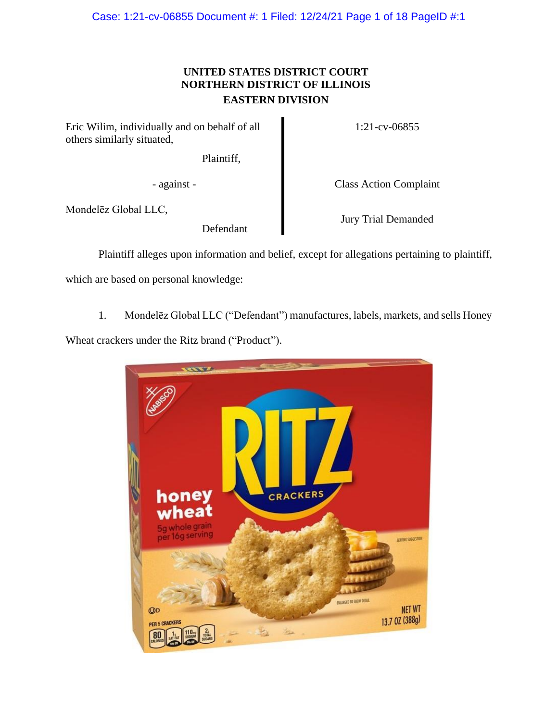Case: 1:21-cv-06855 Document #: 1 Filed: 12/24/21 Page 1 of 18 PageID #:1

# **UNITED STATES DISTRICT COURT NORTHERN DISTRICT OF ILLINOIS EASTERN DIVISION**

Eric Wilim, individually and on behalf of all others similarly situated,

Plaintiff,

1:21-cv-06855

- against - Class Action Complaint

Mondelēz Global LLC,

Defendant

Jury Trial Demanded

Plaintiff alleges upon information and belief, except for allegations pertaining to plaintiff,

which are based on personal knowledge:

1. Mondelēz Global LLC ("Defendant") manufactures, labels, markets, and sells Honey

Wheat crackers under the Ritz brand ("Product").

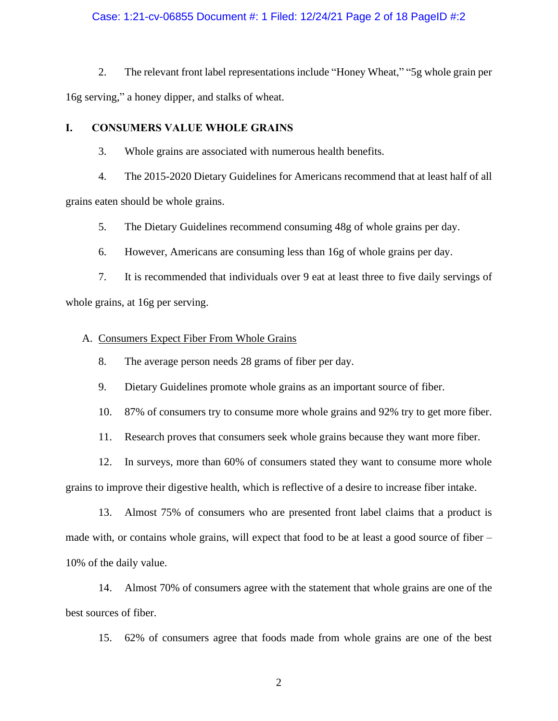# Case: 1:21-cv-06855 Document #: 1 Filed: 12/24/21 Page 2 of 18 PageID #:2

2. The relevant front label representations include "Honey Wheat," "5g whole grain per 16g serving," a honey dipper, and stalks of wheat.

# **I. CONSUMERS VALUE WHOLE GRAINS**

3. Whole grains are associated with numerous health benefits.

4. The 2015-2020 Dietary Guidelines for Americans recommend that at least half of all

grains eaten should be whole grains.

5. The Dietary Guidelines recommend consuming 48g of whole grains per day.

6. However, Americans are consuming less than 16g of whole grains per day.

7. It is recommended that individuals over 9 eat at least three to five daily servings of whole grains, at 16g per serving.

### A. Consumers Expect Fiber From Whole Grains

8. The average person needs 28 grams of fiber per day.

9. Dietary Guidelines promote whole grains as an important source of fiber.

10. 87% of consumers try to consume more whole grains and 92% try to get more fiber.

11. Research proves that consumers seek whole grains because they want more fiber.

12. In surveys, more than 60% of consumers stated they want to consume more whole grains to improve their digestive health, which is reflective of a desire to increase fiber intake.

13. Almost 75% of consumers who are presented front label claims that a product is made with, or contains whole grains, will expect that food to be at least a good source of fiber – 10% of the daily value.

14. Almost 70% of consumers agree with the statement that whole grains are one of the best sources of fiber.

15. 62% of consumers agree that foods made from whole grains are one of the best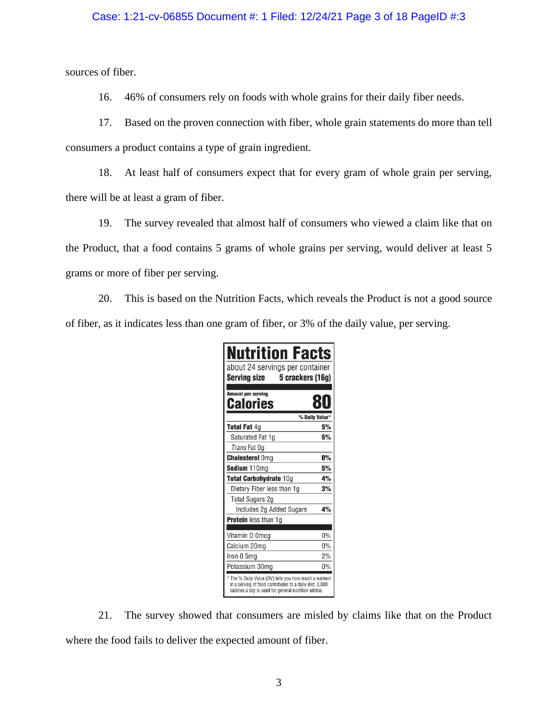# Case: 1:21-cv-06855 Document #: 1 Filed: 12/24/21 Page 3 of 18 PageID #:3

sources of fiber.

16. 46% of consumers rely on foods with whole grains for their daily fiber needs.

17. Based on the proven connection with fiber, whole grain statements do more than tell consumers a product contains a type of grain ingredient.

18. At least half of consumers expect that for every gram of whole grain per serving, there will be at least a gram of fiber.

19. The survey revealed that almost half of consumers who viewed a claim like that on the Product, that a food contains 5 grams of whole grains per serving, would deliver at least 5 grams or more of fiber per serving.

20. This is based on the Nutrition Facts, which reveals the Product is not a good source of fiber, as it indicates less than one gram of fiber, or 3% of the daily value, per serving.

| <b>Nutrition Facts</b><br>about 24 servings per container<br><b>Serving size</b><br>5 crackers (16g)                                                                      |       |
|---------------------------------------------------------------------------------------------------------------------------------------------------------------------------|-------|
| <b>Amount per serving</b><br>Calories                                                                                                                                     |       |
| % Daily Value*                                                                                                                                                            |       |
| <b>Total Fat 4g</b>                                                                                                                                                       | 5%    |
| Saturated Fat 1q                                                                                                                                                          | 5%    |
| Trans Fat Og                                                                                                                                                              |       |
| <b>Cholesterol Oma</b>                                                                                                                                                    | 0%    |
| Sodium 110mg                                                                                                                                                              | 5%    |
| Total Carbohydrate 10g                                                                                                                                                    | 4%    |
| Dietary Fiber less than 1g                                                                                                                                                | 3%    |
| <b>Total Sugars 2g</b>                                                                                                                                                    |       |
| Includes 2g Added Sugars                                                                                                                                                  | 4%    |
| Protein less than 1g                                                                                                                                                      |       |
|                                                                                                                                                                           |       |
| Vitamin D 0mcg                                                                                                                                                            | $0\%$ |
| Calcium 20mg                                                                                                                                                              | 0%    |
| Iron 0.5mg                                                                                                                                                                | 2%    |
| Potassium 30mg                                                                                                                                                            | 0%    |
| * The % Daily Value (DV) tells you how much a nutrient<br>in a serving of food contributes to a daily diet, 2,000<br>calories a day is used for general nutrition advice. |       |

21. The survey showed that consumers are misled by claims like that on the Product where the food fails to deliver the expected amount of fiber.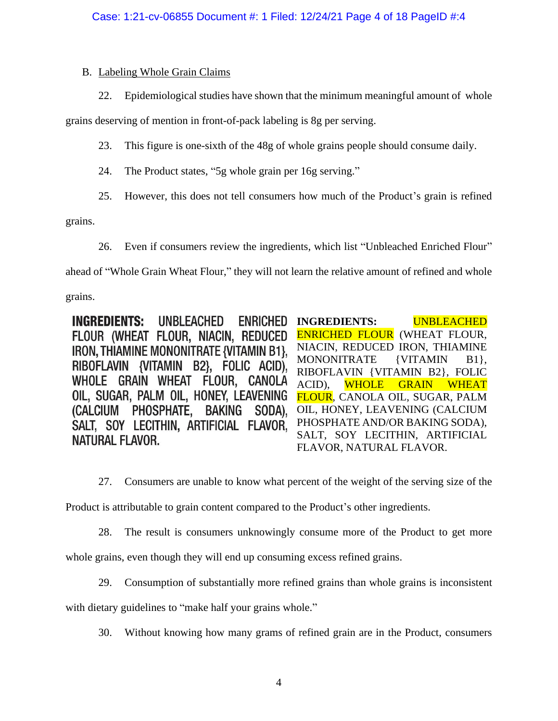# B. Labeling Whole Grain Claims

22. Epidemiological studies have shown that the minimum meaningful amount of whole

grains deserving of mention in front-of-pack labeling is 8g per serving.

- 23. This figure is one-sixth of the 48g of whole grains people should consume daily.
- 24. The Product states, "5g whole grain per 16g serving."
- 25. However, this does not tell consumers how much of the Product's grain is refined

grains.

26. Even if consumers review the ingredients, which list "Unbleached Enriched Flour"

ahead of "Whole Grain Wheat Flour," they will not learn the relative amount of refined and whole

grains.

**INGREDIENTS:** UNBLEACHED **ENRICHED INGREDIENTS:** UNBLEACHED FLOUR (WHEAT FLOUR, NIACIN, REDUCED ENRICHED FLOUR (WHEAT FLOUR, NIACIN, REDUCED IRON, THIAMINE **IRON. THIAMINE MONONITRATE (VITAMIN B1).** MONONITRATE {VITAMIN B1}, RIBOFLAVIN {VITAMIN B2}, FOLIC ACID), RIBOFLAVIN {VITAMIN B2}, FOLIC WHOLE GRAIN WHEAT FLOUR, CANOLA ACID), WHOLE GRAIN WHEAT OIL, SUGAR, PALM OIL, HONEY, LEAVENING FLOUR, CANOLA OIL, SUGAR, PALM PHOSPHATE, BAKING SODA). (CALCIUM OIL, HONEY, LEAVENING (CALCIUM PHOSPHATE AND/OR BAKING SODA), SALT. SOY LECITHIN, ARTIFICIAL FLAVOR. SALT, SOY LECITHIN, ARTIFICIAL NATURAL FLAVOR. FLAVOR, NATURAL FLAVOR.

27. Consumers are unable to know what percent of the weight of the serving size of the

Product is attributable to grain content compared to the Product's other ingredients.

28. The result is consumers unknowingly consume more of the Product to get more

whole grains, even though they will end up consuming excess refined grains.

29. Consumption of substantially more refined grains than whole grains is inconsistent

with dietary guidelines to "make half your grains whole."

30. Without knowing how many grams of refined grain are in the Product, consumers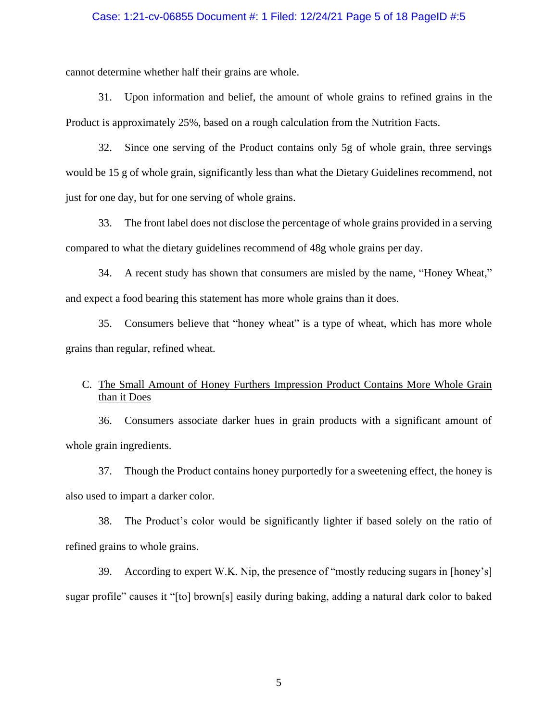### Case: 1:21-cv-06855 Document #: 1 Filed: 12/24/21 Page 5 of 18 PageID #:5

cannot determine whether half their grains are whole.

31. Upon information and belief, the amount of whole grains to refined grains in the Product is approximately 25%, based on a rough calculation from the Nutrition Facts.

32. Since one serving of the Product contains only 5g of whole grain, three servings would be 15 g of whole grain, significantly less than what the Dietary Guidelines recommend, not just for one day, but for one serving of whole grains.

33. The front label does not disclose the percentage of whole grains provided in a serving compared to what the dietary guidelines recommend of 48g whole grains per day.

34. A recent study has shown that consumers are misled by the name, "Honey Wheat," and expect a food bearing this statement has more whole grains than it does.

35. Consumers believe that "honey wheat" is a type of wheat, which has more whole grains than regular, refined wheat.

# C. The Small Amount of Honey Furthers Impression Product Contains More Whole Grain than it Does

36. Consumers associate darker hues in grain products with a significant amount of whole grain ingredients.

37. Though the Product contains honey purportedly for a sweetening effect, the honey is also used to impart a darker color.

38. The Product's color would be significantly lighter if based solely on the ratio of refined grains to whole grains.

39. According to expert W.K. Nip, the presence of "mostly reducing sugars in [honey's] sugar profile" causes it "[to] brown[s] easily during baking, adding a natural dark color to baked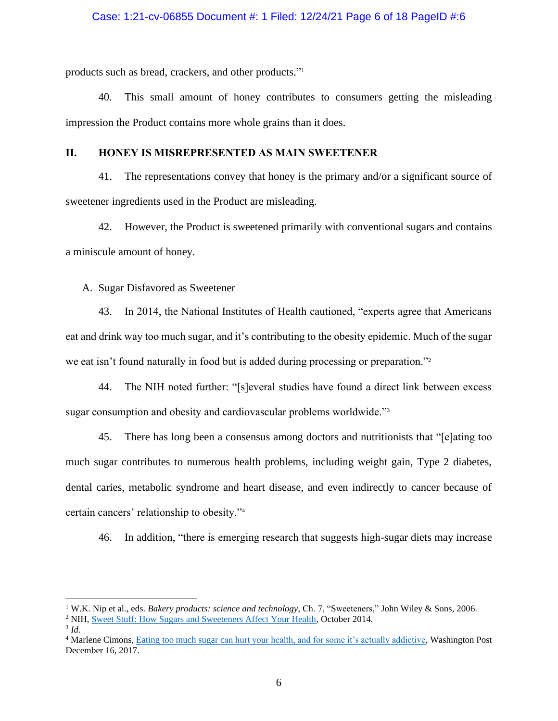# Case: 1:21-cv-06855 Document #: 1 Filed: 12/24/21 Page 6 of 18 PageID #:6

products such as bread, crackers, and other products." 1

40. This small amount of honey contributes to consumers getting the misleading impression the Product contains more whole grains than it does.

# **II. HONEY IS MISREPRESENTED AS MAIN SWEETENER**

41. The representations convey that honey is the primary and/or a significant source of sweetener ingredients used in the Product are misleading.

42. However, the Product is sweetened primarily with conventional sugars and contains a miniscule amount of honey.

# A. Sugar Disfavored as Sweetener

43. In 2014, the National Institutes of Health cautioned, "experts agree that Americans eat and drink way too much sugar, and it's contributing to the obesity epidemic. Much of the sugar we eat isn't found naturally in food but is added during processing or preparation."<sup>2</sup>

44. The NIH noted further: "[s]everal studies have found a direct link between excess sugar consumption and obesity and cardiovascular problems worldwide."<sup>3</sup>

45. There has long been a consensus among doctors and nutritionists that "[e]ating too much sugar contributes to numerous health problems, including weight gain, Type 2 diabetes, dental caries, metabolic syndrome and heart disease, and even indirectly to cancer because of certain cancers' relationship to obesity."<sup>4</sup>

46. In addition, "there is emerging research that suggests high-sugar diets may increase

<sup>1</sup> W.K. Nip et al., eds. *Bakery products: science and technology*, Ch. 7, "Sweeteners," John Wiley & Sons, 2006.

<sup>&</sup>lt;sup>2</sup> NIH[, Sweet Stuff: How Sugars and Sweeteners Affect Your Health,](https://newsinhealth.nih.gov/2014/10/sweet-stuff) October 2014.

<sup>3</sup> *Id.*

<sup>&</sup>lt;sup>4</sup> Marlene Cimons, [Eating too much sugar can hurt your health, and for some it's actually addictive,](https://www.washingtonpost.com/national/health-science/eating-too-much-sugar-can-hurt-your-health-and-for-some-its-actually-addictive/2017/12/15/3853d3e8-de8b-11e7-bbd0-9dfb2e37492a_story.html) Washington Post December 16, 2017.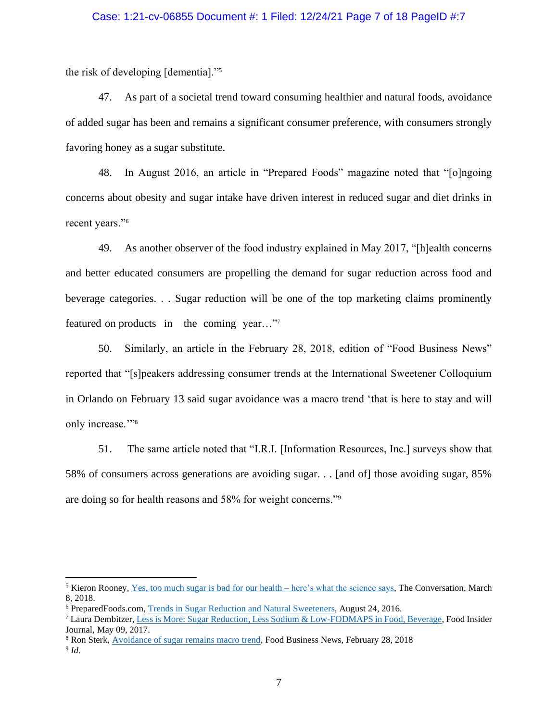# Case: 1:21-cv-06855 Document #: 1 Filed: 12/24/21 Page 7 of 18 PageID #:7

the risk of developing [dementia]."<sup>5</sup>

47. As part of a societal trend toward consuming healthier and natural foods, avoidance of added sugar has been and remains a significant consumer preference, with consumers strongly favoring honey as a sugar substitute.

48. In August 2016, an article in "Prepared Foods" magazine noted that "[o]ngoing concerns about obesity and sugar intake have driven interest in reduced sugar and diet drinks in recent years."<sup>6</sup>

49. As another observer of the food industry explained in May 2017, "[h]ealth concerns and better educated consumers are propelling the demand for sugar reduction across food and beverage categories. . . Sugar reduction will be one of the top marketing claims prominently featured on products in the coming year…"<sup>7</sup>

50. Similarly, an article in the February 28, 2018, edition of "Food Business News" reported that "[s]peakers addressing consumer trends at the International Sweetener Colloquium in Orlando on February 13 said sugar avoidance was a macro trend 'that is here to stay and will only increase."<sup>3</sup>

51. The same article noted that "I.R.I. [Information Resources, Inc.] surveys show that 58% of consumers across generations are avoiding sugar. . . [and of] those avoiding sugar, 85% are doing so for health reasons and 58% for weight concerns."<sup>9</sup>

<sup>5</sup> Kieron Rooney, [Yes, too much sugar is bad for our health –](http://theconversation.com/yes-too-much-sugar-is-bad-for-our-health-heres-what-the-science-says-92030) here's what the science says, The Conversation, March 8, 2018.

<sup>6</sup> PreparedFoods.com, [Trends in Sugar Reduction and Natural Sweeteners,](https://www.preparedfoods.com/articles/118643-trends-in-sugar-reduction-and-natural-sweeteners) August 24, 2016.

<sup>7</sup> Laura Dembitzer, [Less is More: Sugar Reduction, Less Sodium & Low-FODMAPS in Food, Beverage,](https://www.foodinsiderjournal.com/formulation-solutions/less-more-sugar-reduction-less-sodium-low-fodmaps-food-beverage) Food Insider Journal, May 09, 2017.

<sup>8</sup> Ron Sterk, [Avoidance of sugar remains macro trend,](https://www.foodbusinessnews.net/articles/11380-avoidance-of-sugar-remains-macro-trend) Food Business News, February 28, 2018

<sup>9</sup> *Id*.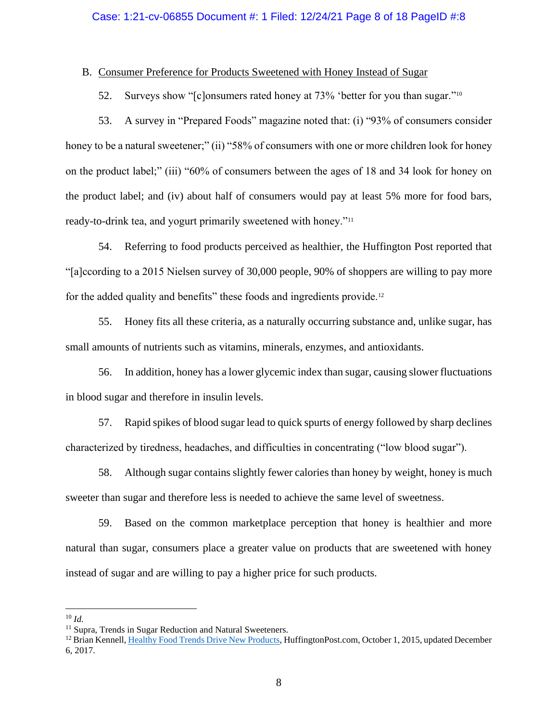# B. Consumer Preference for Products Sweetened with Honey Instead of Sugar

52. Surveys show "[c]onsumers rated honey at 73% 'better for you than sugar."<sup>10</sup>

53. A survey in "Prepared Foods" magazine noted that: (i) "93% of consumers consider honey to be a natural sweetener;" (ii) "58% of consumers with one or more children look for honey on the product label;" (iii) "60% of consumers between the ages of 18 and 34 look for honey on the product label; and (iv) about half of consumers would pay at least 5% more for food bars, ready-to-drink tea, and yogurt primarily sweetened with honey."<sup>11</sup>

54. Referring to food products perceived as healthier, the Huffington Post reported that "[a]ccording to a 2015 Nielsen survey of 30,000 people, 90% of shoppers are willing to pay more for the added quality and benefits" these foods and ingredients provide.<sup>12</sup>

55. Honey fits all these criteria, as a naturally occurring substance and, unlike sugar, has small amounts of nutrients such as vitamins, minerals, enzymes, and antioxidants.

56. In addition, honey has a lower glycemic index than sugar, causing slower fluctuations in blood sugar and therefore in insulin levels.

57. Rapid spikes of blood sugar lead to quick spurts of energy followed by sharp declines characterized by tiredness, headaches, and difficulties in concentrating ("low blood sugar").

58. Although sugar contains slightly fewer calories than honey by weight, honey is much sweeter than sugar and therefore less is needed to achieve the same level of sweetness.

59. Based on the common marketplace perception that honey is healthier and more natural than sugar, consumers place a greater value on products that are sweetened with honey instead of sugar and are willing to pay a higher price for such products.

<sup>10</sup> *Id.*

<sup>&</sup>lt;sup>11</sup> Supra, Trends in Sugar Reduction and Natural Sweeteners.

<sup>&</sup>lt;sup>12</sup> Brian Kennell[, Healthy Food Trends Drive New Products,](https://www.huffpost.com/entry/healthy-food-trends-drive_b_8222388) HuffingtonPost.com, October 1, 2015, updated December 6, 2017.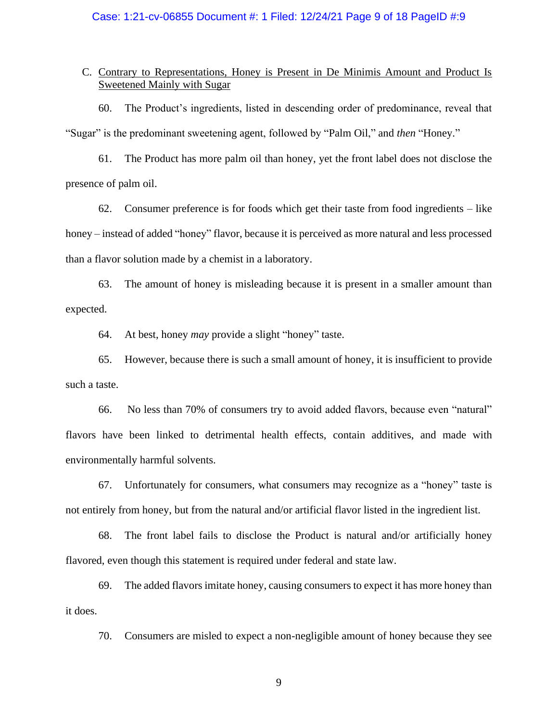# Case: 1:21-cv-06855 Document #: 1 Filed: 12/24/21 Page 9 of 18 PageID #:9

# C. Contrary to Representations, Honey is Present in De Minimis Amount and Product Is Sweetened Mainly with Sugar

60. The Product's ingredients, listed in descending order of predominance, reveal that "Sugar" is the predominant sweetening agent, followed by "Palm Oil," and *then* "Honey."

61. The Product has more palm oil than honey, yet the front label does not disclose the presence of palm oil.

62. Consumer preference is for foods which get their taste from food ingredients – like honey – instead of added "honey" flavor, because it is perceived as more natural and less processed than a flavor solution made by a chemist in a laboratory.

63. The amount of honey is misleading because it is present in a smaller amount than expected.

64. At best, honey *may* provide a slight "honey" taste.

65. However, because there is such a small amount of honey, it is insufficient to provide such a taste.

66. No less than 70% of consumers try to avoid added flavors, because even "natural" flavors have been linked to detrimental health effects, contain additives, and made with environmentally harmful solvents.

67. Unfortunately for consumers, what consumers may recognize as a "honey" taste is not entirely from honey, but from the natural and/or artificial flavor listed in the ingredient list.

68. The front label fails to disclose the Product is natural and/or artificially honey flavored, even though this statement is required under federal and state law.

69. The added flavors imitate honey, causing consumers to expect it has more honey than it does.

70. Consumers are misled to expect a non-negligible amount of honey because they see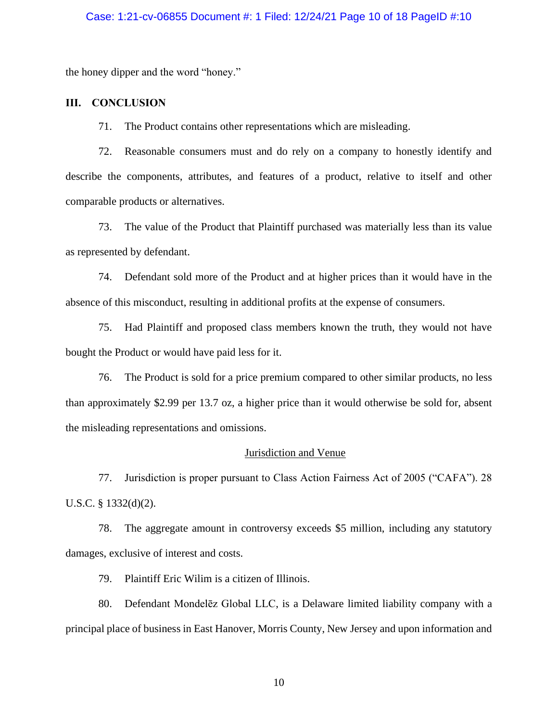# Case: 1:21-cv-06855 Document #: 1 Filed: 12/24/21 Page 10 of 18 PageID #:10

the honey dipper and the word "honey."

# **III. CONCLUSION**

71. The Product contains other representations which are misleading.

72. Reasonable consumers must and do rely on a company to honestly identify and describe the components, attributes, and features of a product, relative to itself and other comparable products or alternatives.

73. The value of the Product that Plaintiff purchased was materially less than its value as represented by defendant.

74. Defendant sold more of the Product and at higher prices than it would have in the absence of this misconduct, resulting in additional profits at the expense of consumers.

75. Had Plaintiff and proposed class members known the truth, they would not have bought the Product or would have paid less for it.

76. The Product is sold for a price premium compared to other similar products, no less than approximately \$2.99 per 13.7 oz, a higher price than it would otherwise be sold for, absent the misleading representations and omissions.

### Jurisdiction and Venue

77. Jurisdiction is proper pursuant to Class Action Fairness Act of 2005 ("CAFA"). 28 U.S.C. § 1332(d)(2).

78. The aggregate amount in controversy exceeds \$5 million, including any statutory damages, exclusive of interest and costs.

79. Plaintiff Eric Wilim is a citizen of Illinois.

80. Defendant Mondelēz Global LLC, is a Delaware limited liability company with a principal place of business in East Hanover, Morris County, New Jersey and upon information and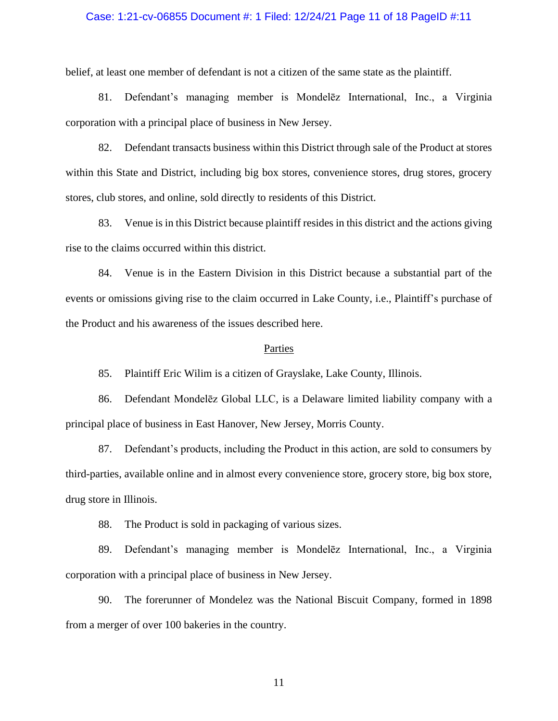### Case: 1:21-cv-06855 Document #: 1 Filed: 12/24/21 Page 11 of 18 PageID #:11

belief, at least one member of defendant is not a citizen of the same state as the plaintiff.

81. Defendant's managing member is Mondelēz International, Inc., a Virginia corporation with a principal place of business in New Jersey.

82. Defendant transacts business within this District through sale of the Product at stores within this State and District, including big box stores, convenience stores, drug stores, grocery stores, club stores, and online, sold directly to residents of this District.

83. Venue is in this District because plaintiff resides in this district and the actions giving rise to the claims occurred within this district.

84. Venue is in the Eastern Division in this District because a substantial part of the events or omissions giving rise to the claim occurred in Lake County, i.e., Plaintiff's purchase of the Product and his awareness of the issues described here.

#### Parties

85. Plaintiff Eric Wilim is a citizen of Grayslake, Lake County, Illinois.

86. Defendant Mondelēz Global LLC, is a Delaware limited liability company with a principal place of business in East Hanover, New Jersey, Morris County.

87. Defendant's products, including the Product in this action, are sold to consumers by third-parties, available online and in almost every convenience store, grocery store, big box store, drug store in Illinois.

88. The Product is sold in packaging of various sizes.

89. Defendant's managing member is Mondelēz International, Inc., a Virginia corporation with a principal place of business in New Jersey.

90. The forerunner of Mondelez was the National Biscuit Company, formed in 1898 from a merger of over 100 bakeries in the country.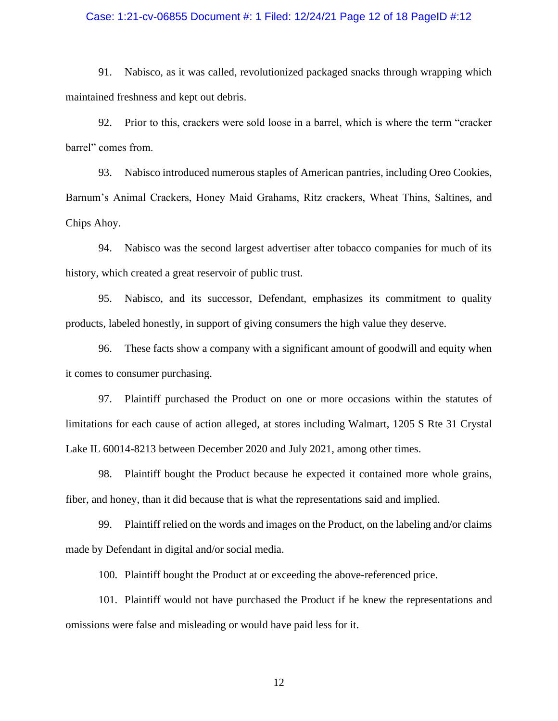### Case: 1:21-cv-06855 Document #: 1 Filed: 12/24/21 Page 12 of 18 PageID #:12

91. Nabisco, as it was called, revolutionized packaged snacks through wrapping which maintained freshness and kept out debris.

92. Prior to this, crackers were sold loose in a barrel, which is where the term "cracker barrel" comes from.

93. Nabisco introduced numerous staples of American pantries, including Oreo Cookies, Barnum's Animal Crackers, Honey Maid Grahams, Ritz crackers, Wheat Thins, Saltines, and Chips Ahoy.

94. Nabisco was the second largest advertiser after tobacco companies for much of its history, which created a great reservoir of public trust.

95. Nabisco, and its successor, Defendant, emphasizes its commitment to quality products, labeled honestly, in support of giving consumers the high value they deserve.

96. These facts show a company with a significant amount of goodwill and equity when it comes to consumer purchasing.

97. Plaintiff purchased the Product on one or more occasions within the statutes of limitations for each cause of action alleged, at stores including Walmart, 1205 S Rte 31 Crystal Lake IL 60014-8213 between December 2020 and July 2021, among other times.

98. Plaintiff bought the Product because he expected it contained more whole grains, fiber, and honey, than it did because that is what the representations said and implied.

99. Plaintiff relied on the words and images on the Product, on the labeling and/or claims made by Defendant in digital and/or social media.

100. Plaintiff bought the Product at or exceeding the above-referenced price.

101. Plaintiff would not have purchased the Product if he knew the representations and omissions were false and misleading or would have paid less for it.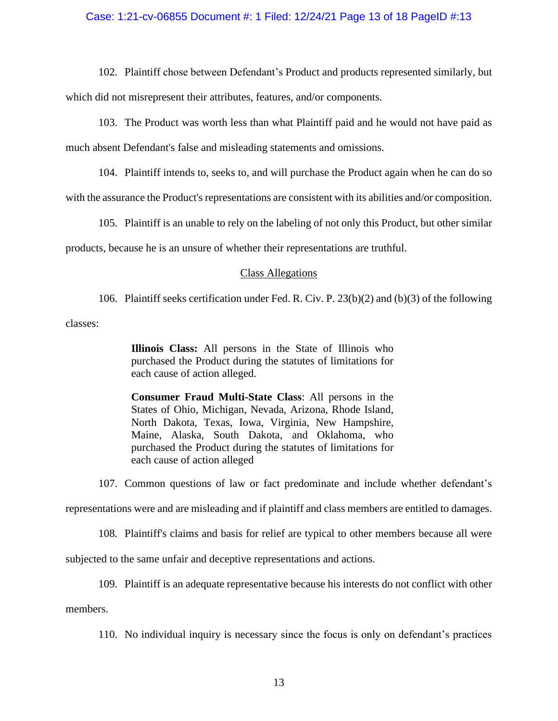# Case: 1:21-cv-06855 Document #: 1 Filed: 12/24/21 Page 13 of 18 PageID #:13

102. Plaintiff chose between Defendant's Product and products represented similarly, but which did not misrepresent their attributes, features, and/or components.

103. The Product was worth less than what Plaintiff paid and he would not have paid as much absent Defendant's false and misleading statements and omissions.

104. Plaintiff intends to, seeks to, and will purchase the Product again when he can do so

with the assurance the Product's representations are consistent with its abilities and/or composition.

105. Plaintiff is an unable to rely on the labeling of not only this Product, but other similar

products, because he is an unsure of whether their representations are truthful.

#### Class Allegations

106. Plaintiff seeks certification under Fed. R. Civ. P. 23(b)(2) and (b)(3) of the following

classes:

**Illinois Class:** All persons in the State of Illinois who purchased the Product during the statutes of limitations for each cause of action alleged.

**Consumer Fraud Multi-State Class**: All persons in the States of Ohio, Michigan, Nevada, Arizona, Rhode Island, North Dakota, Texas, Iowa, Virginia, New Hampshire, Maine, Alaska, South Dakota, and Oklahoma, who purchased the Product during the statutes of limitations for each cause of action alleged

107. Common questions of law or fact predominate and include whether defendant's

representations were and are misleading and if plaintiff and class members are entitled to damages.

108. Plaintiff's claims and basis for relief are typical to other members because all were

subjected to the same unfair and deceptive representations and actions.

109. Plaintiff is an adequate representative because his interests do not conflict with other

members.

110. No individual inquiry is necessary since the focus is only on defendant's practices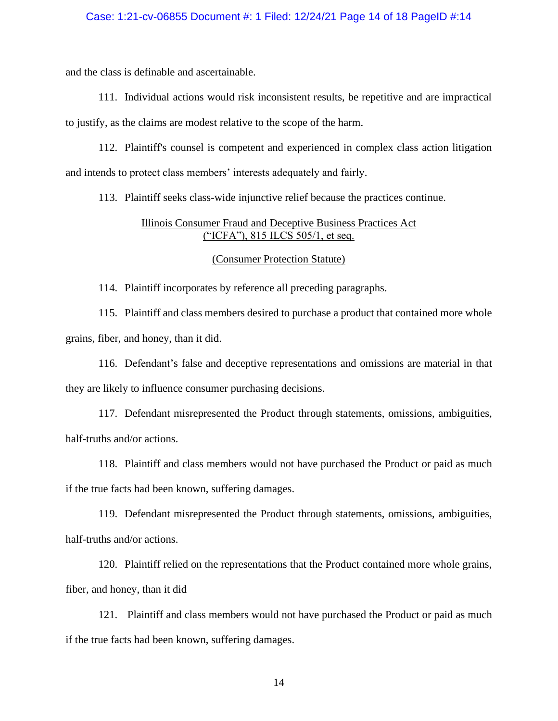### Case: 1:21-cv-06855 Document #: 1 Filed: 12/24/21 Page 14 of 18 PageID #:14

and the class is definable and ascertainable.

111. Individual actions would risk inconsistent results, be repetitive and are impractical to justify, as the claims are modest relative to the scope of the harm.

112. Plaintiff's counsel is competent and experienced in complex class action litigation and intends to protect class members' interests adequately and fairly.

113. Plaintiff seeks class-wide injunctive relief because the practices continue.

# Illinois Consumer Fraud and Deceptive Business Practices Act ("ICFA"), 815 ILCS 505/1, et seq.

# (Consumer Protection Statute)

114. Plaintiff incorporates by reference all preceding paragraphs.

115. Plaintiff and class members desired to purchase a product that contained more whole grains, fiber, and honey, than it did.

116. Defendant's false and deceptive representations and omissions are material in that they are likely to influence consumer purchasing decisions.

117. Defendant misrepresented the Product through statements, omissions, ambiguities, half-truths and/or actions.

118. Plaintiff and class members would not have purchased the Product or paid as much if the true facts had been known, suffering damages.

119. Defendant misrepresented the Product through statements, omissions, ambiguities, half-truths and/or actions.

120. Plaintiff relied on the representations that the Product contained more whole grains, fiber, and honey, than it did

121. Plaintiff and class members would not have purchased the Product or paid as much if the true facts had been known, suffering damages.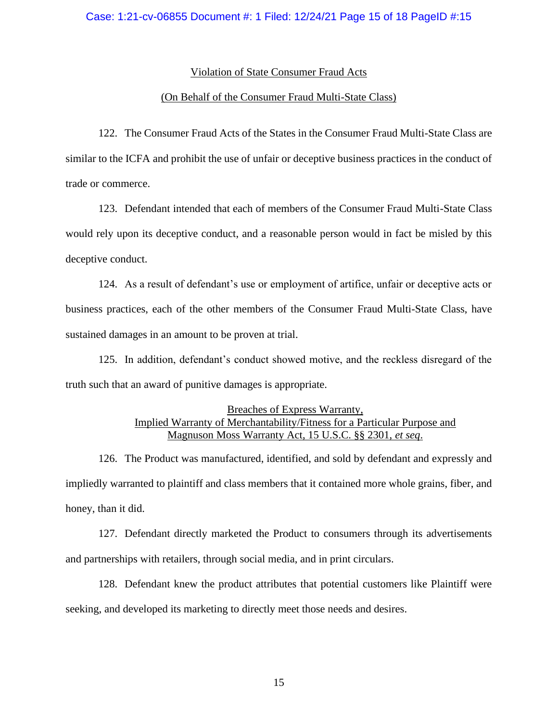# Violation of State Consumer Fraud Acts

# (On Behalf of the Consumer Fraud Multi-State Class)

122. The Consumer Fraud Acts of the States in the Consumer Fraud Multi-State Class are similar to the ICFA and prohibit the use of unfair or deceptive business practices in the conduct of trade or commerce.

123. Defendant intended that each of members of the Consumer Fraud Multi-State Class would rely upon its deceptive conduct, and a reasonable person would in fact be misled by this deceptive conduct.

124. As a result of defendant's use or employment of artifice, unfair or deceptive acts or business practices, each of the other members of the Consumer Fraud Multi-State Class, have sustained damages in an amount to be proven at trial.

125. In addition, defendant's conduct showed motive, and the reckless disregard of the truth such that an award of punitive damages is appropriate.

# Breaches of Express Warranty, Implied Warranty of Merchantability/Fitness for a Particular Purpose and Magnuson Moss Warranty Act, 15 U.S.C. §§ 2301, *et seq*.

126. The Product was manufactured, identified, and sold by defendant and expressly and impliedly warranted to plaintiff and class members that it contained more whole grains, fiber, and honey, than it did.

127. Defendant directly marketed the Product to consumers through its advertisements and partnerships with retailers, through social media, and in print circulars.

128. Defendant knew the product attributes that potential customers like Plaintiff were seeking, and developed its marketing to directly meet those needs and desires.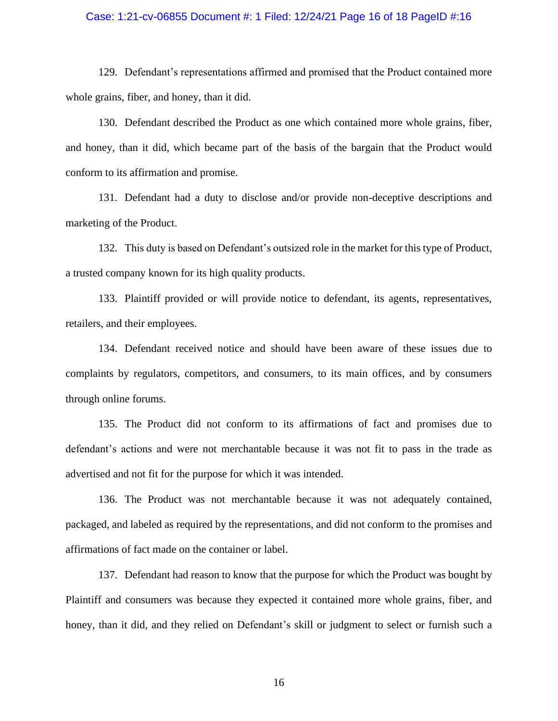### Case: 1:21-cv-06855 Document #: 1 Filed: 12/24/21 Page 16 of 18 PageID #:16

129. Defendant's representations affirmed and promised that the Product contained more whole grains, fiber, and honey, than it did.

130. Defendant described the Product as one which contained more whole grains, fiber, and honey, than it did, which became part of the basis of the bargain that the Product would conform to its affirmation and promise.

131. Defendant had a duty to disclose and/or provide non-deceptive descriptions and marketing of the Product.

132. This duty is based on Defendant's outsized role in the market for this type of Product, a trusted company known for its high quality products.

133. Plaintiff provided or will provide notice to defendant, its agents, representatives, retailers, and their employees.

134. Defendant received notice and should have been aware of these issues due to complaints by regulators, competitors, and consumers, to its main offices, and by consumers through online forums.

135. The Product did not conform to its affirmations of fact and promises due to defendant's actions and were not merchantable because it was not fit to pass in the trade as advertised and not fit for the purpose for which it was intended.

136. The Product was not merchantable because it was not adequately contained, packaged, and labeled as required by the representations, and did not conform to the promises and affirmations of fact made on the container or label.

137. Defendant had reason to know that the purpose for which the Product was bought by Plaintiff and consumers was because they expected it contained more whole grains, fiber, and honey, than it did, and they relied on Defendant's skill or judgment to select or furnish such a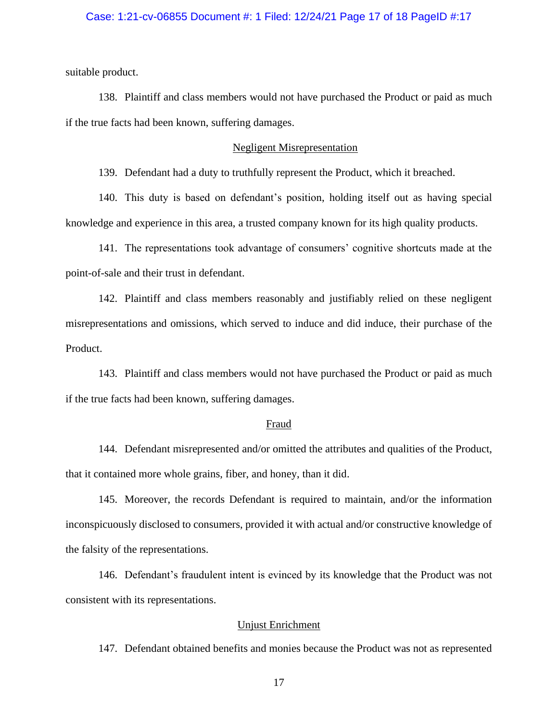# Case: 1:21-cv-06855 Document #: 1 Filed: 12/24/21 Page 17 of 18 PageID #:17

suitable product.

138. Plaintiff and class members would not have purchased the Product or paid as much if the true facts had been known, suffering damages.

#### Negligent Misrepresentation

139. Defendant had a duty to truthfully represent the Product, which it breached.

140. This duty is based on defendant's position, holding itself out as having special knowledge and experience in this area, a trusted company known for its high quality products.

141. The representations took advantage of consumers' cognitive shortcuts made at the point-of-sale and their trust in defendant.

142. Plaintiff and class members reasonably and justifiably relied on these negligent misrepresentations and omissions, which served to induce and did induce, their purchase of the Product.

143. Plaintiff and class members would not have purchased the Product or paid as much if the true facts had been known, suffering damages.

### Fraud

144. Defendant misrepresented and/or omitted the attributes and qualities of the Product, that it contained more whole grains, fiber, and honey, than it did.

145. Moreover, the records Defendant is required to maintain, and/or the information inconspicuously disclosed to consumers, provided it with actual and/or constructive knowledge of the falsity of the representations.

146. Defendant's fraudulent intent is evinced by its knowledge that the Product was not consistent with its representations.

# Unjust Enrichment

147. Defendant obtained benefits and monies because the Product was not as represented